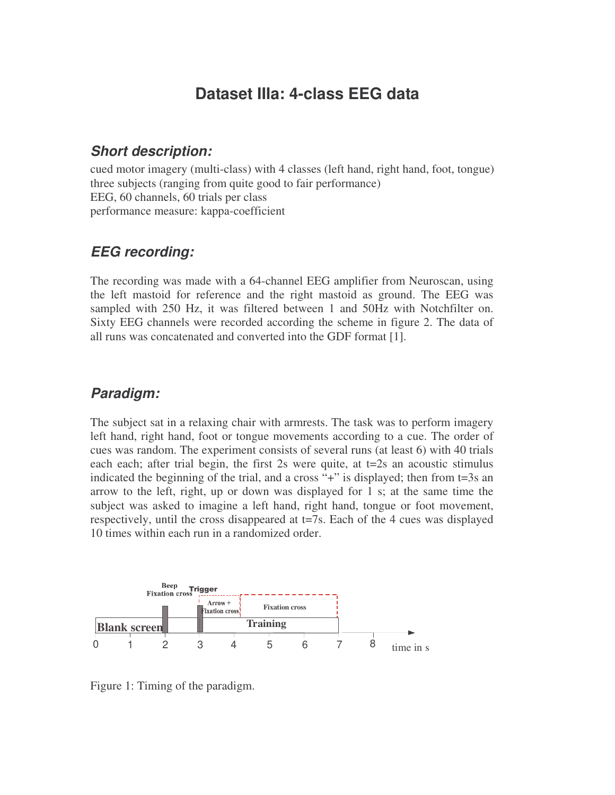# **Dataset IIIa: 4-class EEG data**

#### *Short description:*

cued motor imagery (multi-class) with 4 classes (left hand, right hand, foot, tongue) three subjects (ranging from quite good to fair performance) EEG, 60 channels, 60 trials per class performance measure: kappa-coefficient

## *EEG recording:*

The recording was made with a 64-channel EEG amplifier from Neuroscan, using the left mastoid for reference and the right mastoid as ground. The EEG was sampled with 250 Hz, it was filtered between 1 and 50Hz with Notchfilter on. Sixty EEG channels were recorded according the scheme in figure 2. The data of all runs was concatenated and converted into the GDF format [1].

### *Paradigm:*

The subject sat in a relaxing chair with armrests. The task was to perform imagery left hand, right hand, foot or tongue movements according to a cue. The order of cues was random. The experiment consists of several runs (at least 6) with 40 trials each each; after trial begin, the first 2s were quite, at t=2s an acoustic stimulus indicated the beginning of the trial, and a cross "+" is displayed; then from t=3s an arrow to the left, right, up or down was displayed for 1 s; at the same time the subject was asked to imagine a left hand, right hand, tongue or foot movement, respectively, until the cross disappeared at t=7s. Each of the 4 cues was displayed 10 times within each run in a randomized order.



Figure 1: Timing of the paradigm.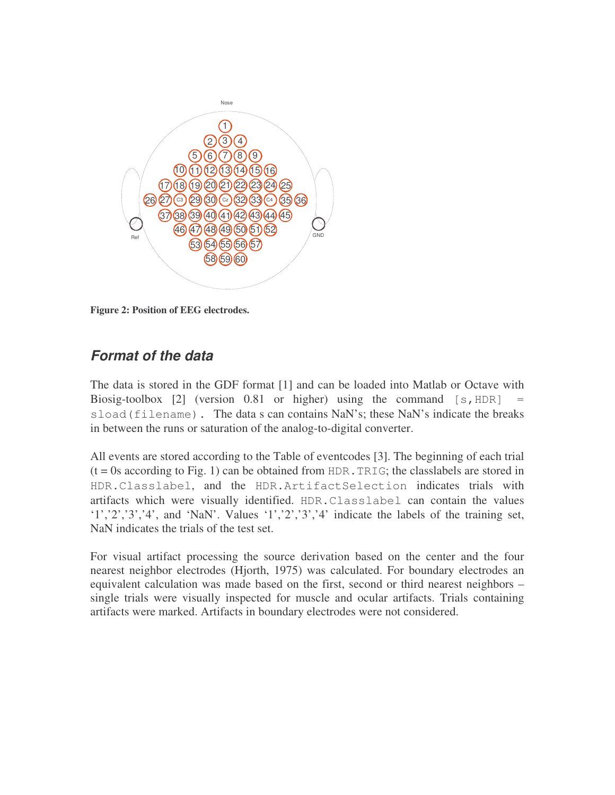

**Figure 2: Position of EEG electrodes.**

### *Format of the data*

The data is stored in the GDF format [1] and can be loaded into Matlab or Octave with Biosig-toolbox  $[2]$  (version 0.81 or higher) using the command  $[s, HDR]$ sload(filename). The data s can contains NaN's; these NaN's indicate the breaks in between the runs or saturation of the analog-to-digital converter.

All events are stored according to the Table of eventcodes [3]. The beginning of each trial  $(t = 0s$  according to Fig. 1) can be obtained from HDR. TRIG; the class labels are stored in HDR.Classlabel, and the HDR.ArtifactSelection indicates trials with artifacts which were visually identified. HDR.Classlabel can contain the values '1','2','3','4', and 'NaN'. Values '1','2','3','4' indicate the labels of the training set, NaN indicates the trials of the test set.

For visual artifact processing the source derivation based on the center and the four nearest neighbor electrodes (Hjorth, 1975) was calculated. For boundary electrodes an equivalent calculation was made based on the first, second or third nearest neighbors – single trials were visually inspected for muscle and ocular artifacts. Trials containing artifacts were marked. Artifacts in boundary electrodes were not considered.